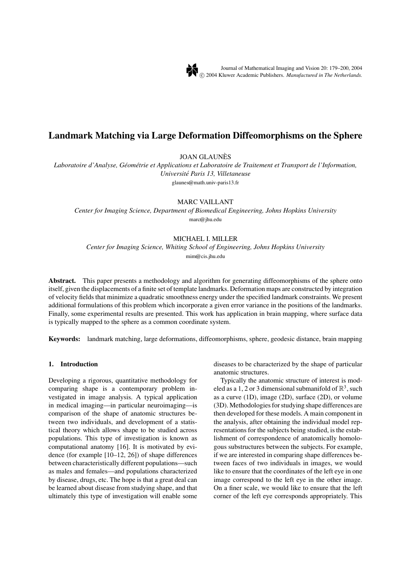

# **Landmark Matching via Large Deformation Diffeomorphisms on the Sphere**

JOAN GLAUNES`

*Laboratoire d'Analyse, Geom ´ etrie et Applications et Laboratoire de Traitement et Transport de l'Information, ´ Universite P´ aris 13, Villetaneuse* glaunes@math.univ-paris13.fr

MARC VAILLANT

*Center for Imaging Science, Department of Biomedical Engineering, Johns Hopkins University* marc@jhu.edu

# MICHAEL I. MILLER

*Center for Imaging Science, Whiting School of Engineering, Johns Hopkins University* mim@cis.jhu.edu

**Abstract.** This paper presents a methodology and algorithm for generating diffeomorphisms of the sphere onto itself, given the displacements of a finite set of template landmarks. Deformation maps are constructed by integration of velocity fields that minimize a quadratic smoothness energy under the specified landmark constraints. We present additional formulations of this problem which incorporate a given error variance in the positions of the landmarks. Finally, some experimental results are presented. This work has application in brain mapping, where surface data is typically mapped to the sphere as a common coordinate system.

**Keywords:** landmark matching, large deformations, diffeomorphisms, sphere, geodesic distance, brain mapping

# **1. Introduction**

Developing a rigorous, quantitative methodology for comparing shape is a contemporary problem investigated in image analysis. A typical application in medical imaging—in particular neuroimaging—is comparison of the shape of anatomic structures between two individuals, and development of a statistical theory which allows shape to be studied across populations. This type of investigation is known as computational anatomy [16]. It is motivated by evidence (for example [10–12, 26]) of shape differences between characteristically different populations—such as males and females—and populations characterized by disease, drugs, etc. The hope is that a great deal can be learned about disease from studying shape, and that ultimately this type of investigation will enable some diseases to be characterized by the shape of particular anatomic structures.

Typically the anatomic structure of interest is modeled as a 1, 2 or 3 dimensional submanifold of  $\mathbb{R}^3$ , such as a curve (1D), image (2D), surface (2D), or volume (3D). Methodologies for studying shape differences are then developed for these models. A main component in the analysis, after obtaining the individual model representations for the subjects being studied, is the establishment of correspondence of anatomically homologous substructures between the subjects. For example, if we are interested in comparing shape differences between faces of two individuals in images, we would like to ensure that the coordinates of the left eye in one image correspond to the left eye in the other image. On a finer scale, we would like to ensure that the left corner of the left eye corresponds appropriately. This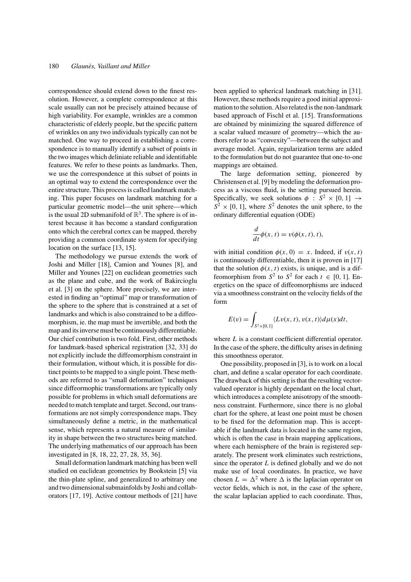correspondence should extend down to the finest resolution. However, a complete correspondence at this scale usually can not be precisely attained because of high variability. For example, wrinkles are a common characteristic of elderly people, but the specific pattern of wrinkles on any two individuals typically can not be matched. One way to proceed in establishing a correspondence is to manually identify a subset of points in the two images which deliniate reliable and identifiable features. We refer to these points as landmarks. Then, we use the correspondence at this subset of points in an optimal way to extend the correspondence over the entire structure. This process is called landmark matching. This paper focuses on landmark matching for a particular geometric model—the unit sphere—which is the usual 2D submanifold of  $\mathbb{R}^3$ . The sphere is of interest because it has become a standard configuration onto which the cerebral cortex can be mapped, thereby providing a common coordinate system for specifying location on the surface [13, 15].

The methodology we pursue extends the work of Joshi and Miller [18], Camion and Younes [8], and Miller and Younes [22] on euclidean geometries such as the plane and cube, and the work of Bakircioglu et al. [3] on the sphere. More precisely, we are interested in finding an "optimal" map or transformation of the sphere to the sphere that is constrained at a set of landmarks and which is also constrained to be a diffeomorphism, ie. the map must be invertible, and both the map and its inverse must be continuously differentiable. Our chief contribution is two fold. First, other methods for landmark-based spherical registration [32, 33] do not explicitly include the diffeomorphism constraint in their formulation, without which, it is possible for distinct points to be mapped to a single point. These methods are referred to as "small deformation" techniques since diffeormophic transformations are typically only possible for problems in which small deformations are needed to match template and target. Second, our transformations are not simply correspondence maps. They simultaneously define a metric, in the mathematical sense, which represents a natural measure of similarity in shape between the two structures being matched. The underlying mathematics of our approach has been investigated in [8, 18, 22, 27, 28, 35, 36].

Small deformation landmark matching has been well studied on euclidean geometries by Bookstein [5] via the thin-plate spline, and generalized to arbitrary one and two dimensional submainfolds by Joshi and collaborators [17, 19]. Active contour methods of [21] have been applied to spherical landmark matching in [31]. However, these methods require a good initial approximation to the solution. Also related is the non-landmark based approach of Fischl et al. [15]. Transformations are obtained by minimizing the squared difference of a scalar valued measure of geometry—which the authors refer to as "convexity"—between the subject and average model. Again, regularization terms are added to the formulation but do not guarantee that one-to-one mappings are obtained.

The large deformation setting, pioneered by Christensen et al. [9] by modeling the deformation process as a viscous fluid, is the setting pursued herein. Specifically, we seek solutions  $\phi : S^2 \times [0, 1] \rightarrow$  $S^2 \times [0, 1]$ , where  $S^2$  denotes the unit sphere, to the ordinary differential equation (ODE)

$$
\frac{d}{dt}\phi(x,t) = v(\phi(x,t),t),
$$

with initial condition  $\phi(x, 0) = x$ . Indeed, if  $v(x, t)$ is continuously differentiable, then it is proven in [17] that the solution  $\phi(x, t)$  exists, is unique, and is a diffeomorphism from  $S^2$  to  $S^2$  for each  $t \in [0, 1]$ . Energetics on the space of diffeomorphisms are induced via a smoothness constraint on the velocity fields of the form

$$
E(v) = \int_{S^2 \times [0,1]} \langle Lv(x,t), v(x,t) \rangle d\mu(x) dt,
$$

where *L* is a constant coefficient differential operator. In the case of the sphere, the difficulty arises in defining this smoothness operator.

One possibility, proposed in [3], is to work on a local chart, and define a scalar operator for each coordinate. The drawback of this setting is that the resulting vectorvalued operator is highly dependant on the local chart, which introduces a complete anisotropy of the smoothness constraint. Furthermore, since there is no global chart for the sphere, at least one point must be chosen to be fixed for the deformation map. This is acceptable if the landmark data is located in the same region, which is often the case in brain mapping applications, where each hemisphere of the brain is registered separately. The present work eliminates such restrictions, since the operator *L* is defined globally and we do not make use of local coordinates. In practice, we have chosen  $L = \Delta^2$  where  $\Delta$  is the laplacian operator on vector fields, which is not, in the case of the sphere, the scalar laplacian applied to each coordinate. Thus,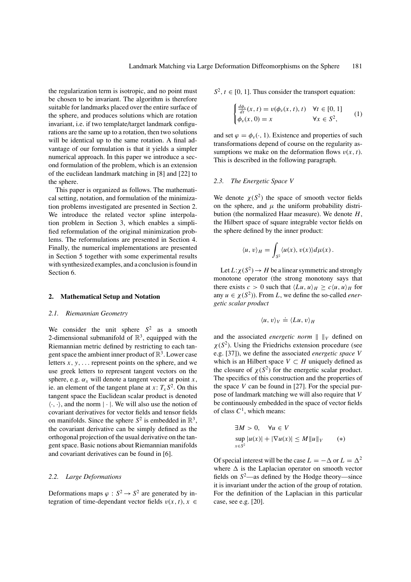the regularization term is isotropic, and no point must be chosen to be invariant. The algorithm is therefore suitable for landmarks placed over the entire surface of the sphere, and produces solutions which are rotation invariant, i.e. if two template/target landmark configurations are the same up to a rotation, then two solutions will be identical up to the same rotation. A final advantage of our formulation is that it yields a simpler numerical approach. In this paper we introduce a second formulation of the problem, which is an extension of the euclidean landmark matching in [8] and [22] to the sphere.

This paper is organized as follows. The mathematical setting, notation, and formulation of the minimization problems investigated are presented in Section 2. We introduce the related vector spline interpolation problem in Section 3, which enables a simplified reformulation of the original minimization problems. The reformulations are presented in Section 4. Finally, the numerical implementations are presented in Section 5 together with some experimental results with synthesized examples, and a conclusion is found in Section 6.

# **2. Mathematical Setup and Notation**

# *2.1. Riemannian Geometry*

We consider the unit sphere *S*<sup>2</sup> as a smooth 2-dimensional submanifold of  $\mathbb{R}^3$ , equipped with the Riemannian metric defined by restricting to each tangent space the ambient inner product of  $\mathbb{R}^3$ . Lower case letters  $x, y, \ldots$  represent points on the sphere, and we use greek letters to represent tangent vectors on the sphere, e.g.  $\alpha_x$  will denote a tangent vector at point *x*, ie. an element of the tangent plane at  $x: T_xS^2$ . On this tangent space the Euclidean scalar product is denoted  $\langle \cdot, \cdot \rangle$ , and the norm  $|\cdot|$ . We will also use the notion of covariant derivatives for vector fields and tensor fields on manifolds. Since the sphere  $S^2$  is embedded in  $\mathbb{R}^3$ , the covariant derivative can be simply defined as the orthogonal projection of the usual derivative on the tangent space. Basic notions about Riemannian manifolds and covariant derivatives can be found in [6].

# *2.2. Large Deformations*

Deformations maps  $\varphi : S^2 \to S^2$  are generated by integration of time-dependant vector fields  $v(x, t)$ ,  $x \in$   $S^2$ ,  $t \in [0, 1]$ . Thus consider the transport equation:

$$
\begin{cases}\n\frac{d\phi_v}{dt}(x,t) = v(\phi_v(x,t),t) & \forall t \in [0,1] \\
\phi_v(x,0) = x & \forall x \in S^2,\n\end{cases}
$$
\n(1)

and set  $\varphi = \phi_v(\cdot, 1)$ . Existence and properties of such transformations depend of course on the regularity assumptions we make on the deformation flows  $v(x, t)$ . This is described in the following paragraph.

# *2.3. The Energetic Space V*

We denote  $\chi(S^2)$  the space of smooth vector fields on the sphere, and  $\mu$  the uniform probability distribution (the normalized Haar measure). We denote *H*, the Hilbert space of square integrable vector fields on the sphere defined by the inner product:

$$
\langle u, v \rangle_H = \int_{S^2} \langle u(x), v(x) \rangle d\mu(x).
$$

Let  $L:\chi(S^2) \to H$  be a linear symmetric and strongly monotone operator (the strong monotony says that there exists  $c > 0$  such that  $\langle Lu, u \rangle_H \ge c \langle u, u \rangle_H$  for any  $u \in \chi(S^2)$ ). From *L*, we define the so-called *energetic scalar product*

$$
\langle u, v \rangle_V \doteq \langle Lu, v \rangle_H
$$

and the associated *energetic norm*  $|| \cdot ||_V$  defined on  $\chi(S^2)$ . Using the Friedrichs extension procedure (see e.g. [37]), we define the associated *energetic space V* which is an Hilbert space  $V \subset H$  uniquely defined as the closure of  $\chi(S^2)$  for the energetic scalar product. The specifics of this construction and the properties of the space  $V$  can be found in [27]. For the special purpose of landmark matching we will also require that *V* be continuously embedded in the space of vector fields of class  $C^1$ , which means:

$$
\exists M > 0, \quad \forall u \in V
$$
  
\n
$$
\sup_{x \in S^2} |u(x)| + |\nabla u(x)| \le M \|u\|_V \qquad (*)
$$

Of special interest will be the case  $L = -\Delta$  or  $L = \Delta^2$ where  $\Delta$  is the Laplacian operator on smooth vector fields on  $S^2$ —as defined by the Hodge theory—since it is invariant under the action of the group of rotation. For the definition of the Laplacian in this particular case, see e.g. [20].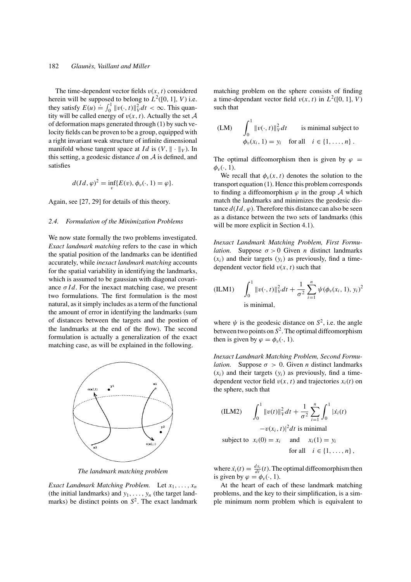# 182 *Glaunes, Vaillant and Miller `*

The time-dependent vector fields  $v(x, t)$  considered herein will be supposed to belong to  $L^2([0, 1], V)$  i.e. they satisfy  $E(u) \doteq \int_0^1 ||v(\cdot, t)||_V^2 dt < \infty$ . This quantity will be called energy of  $v(x, t)$ . Actually the set A of deformation maps generated through (1) by such velocity fields can be proven to be a group, equipped with a right invariant weak structure of infinite dimensional manifold whose tangent space at *Id* is  $(V, \|\cdot\|_V)$ . In this setting, a geodesic distance *d* on A is defined, and satisfies

$$
d(Id, \varphi)^2 = \inf_v \{ E(v), \phi_v(\cdot, 1) = \varphi \}.
$$

Again, see [27, 29] for details of this theory.

### *2.4. Formulation of the Minimization Problems*

We now state formally the two problems investigated. *Exact landmark matching* refers to the case in which the spatial position of the landmarks can be identified accurately, while *inexact landmark matching* accounts for the spatial variability in identifying the landmarks, which is assumed to be gaussian with diagonal covariance  $\sigma Id$ . For the inexact matching case, we present two formulations. The first formulation is the most natural, as it simply includes as a term of the functional the amount of error in identifying the landmarks (sum of distances between the targets and the postion of the landmarks at the end of the flow). The second formulation is actually a generalization of the exact matching case, as will be explained in the following.



*The landmark matching problem*

*Exact Landmark Matching Problem.* Let *x*1,..., *xn* (the initial landmarks) and  $y_1, \ldots, y_n$  (the target landmarks) be distinct points on  $S^2$ . The exact landmark matching problem on the sphere consists of finding a time-dependant vector field  $v(x, t)$  in  $L^2([0, 1], V)$ such that

$$
\text{(LM)} \qquad \int_0^1 \|v(\cdot, t)\|_V^2 dt \qquad \text{is minimal subject to} \\ \phi_v(x_i, 1) = y_i \quad \text{for all} \quad i \in \{1, \dots, n\} \, .
$$

The optimal diffeomorphism then is given by  $\varphi =$  $\phi_v(\cdot, 1)$ .

We recall that  $\phi_v(x, t)$  denotes the solution to the transport equation (1). Hence this problem corresponds to finding a diffeomorphism  $\varphi$  in the group A which match the landmarks and minimizes the geodesic distance  $d(Id, \varphi)$ . Therefore this distance can also be seen as a distance between the two sets of landmarks (this will be more explicit in Section 4.1).

*Inexact Landmark Matching Problem, First Formulation.* Suppose  $\sigma > 0$  Given *n* distinct landmarks  $(x<sub>i</sub>)$  and their targets  $(y<sub>i</sub>)$  as previously, find a timedependent vector field  $v(x, t)$  such that

(ILM1) 
$$
\int_0^1 \|v(\cdot,t)\|_V^2 dt + \frac{1}{\sigma^2} \sum_{i=1}^n \psi(\phi_v(x_i, 1), y_i)^2
$$
  
is minimal,

where  $\psi$  is the geodesic distance on  $S^2$ , i.e. the angle between two points on  $S^2$ . The optimal diffeomorphism then is given by  $\varphi = \phi_v(\cdot, 1)$ .

*Inexact Landmark Matching Problem, Second Formulation.* Suppose  $\sigma > 0$ . Given *n* distinct landmarks  $(x<sub>i</sub>)$  and their targets  $(y<sub>i</sub>)$  as previously, find a timedependent vector field  $v(x, t)$  and trajectories  $x_i(t)$  on the sphere, such that

(ILM2) 
$$
\int_0^1 \|v(t)\|_V^2 dt + \frac{1}{\sigma^2} \sum_{i=1}^n \int_0^1 |\dot{x}_i(t) - v(x_i, t)|^2 dt
$$
 is minimal  
subject to  $x_i(0) = x_i$  and  $x_i(1) = y_i$   
for all  $i \in \{1, ..., n\}$ ,

where  $\dot{x}_i(t) = \frac{dx_i}{dt}(t)$ . The optimal diffeomorphism then is given by  $\varphi = \phi_v(\cdot, 1)$ .

At the heart of each of these landmark matching problems, and the key to their simplification, is a simple minimum norm problem which is equivalent to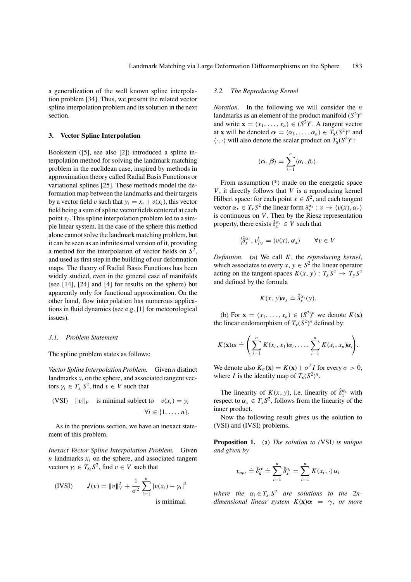a generalization of the well known spline interpolation problem [34]. Thus, we present the related vector spline interpolation problem and its solution in the next section.

# **3. Vector Spline Interpolation**

Bookstein ([5], see also [2]) introduced a spline interpolation method for solving the landmark matching problem in the euclidean case, inspired by methods in approximation theory called Radial Basis Functions or variational splines [25]. These methods model the deformation map between the landmarks and their targets by a vector field v such that  $y_i = x_i + v(x_i)$ , this vector field being a sum of spline vector fields centered at each point  $x_i$ . This spline interpolation problem led to a simple linear system. In the case of the sphere this method alone cannot solve the landmark matching problem, but it can be seen as an infinitesimal version of it, providing a method for the interpolation of vector fields on *S*2, and used as first step in the building of our deformation maps. The theory of Radial Basis Functions has been widely studied, even in the general case of manifolds (see [14], [24] and [4] for results on the sphere) but apparently only for functional approximation. On the other hand, flow interpolation has numerous applications in fluid dynamics (see e.g. [1] for meteorological issues).

### *3.1. Problem Statement*

The spline problem states as follows:

*Vector Spline Interpolation Problem.* Given *n* distinct landmarks  $x_i$  on the sphere, and associated tangent vectors  $\gamma_i \in T_{x_i} S^2$ , find  $v \in V$  such that

(VSI) 
$$
||v||_V
$$
 is minimal subject to  $v(x_i) = \gamma_i$   
 $\forall i \in \{1, ..., n\}.$ 

As in the previous section, we have an inexact statement of this problem.

*Inexact Vector Spline Interpolation Problem.* Given  $n$  landmarks  $x_i$  on the sphere, and associated tangent vectors  $\gamma_i \in T_x S^2$ , find  $v \in V$  such that

(IVSI) 
$$
J(v) = ||v||_V^2 + \frac{1}{\sigma^2} \sum_{i=1}^n |v(x_i) - \gamma_i|^2
$$
is minimal

is minimal.

# *3.2. The Reproducing Kernel*

*Notation.* In the following we will consider the *n* landmarks as an element of the product manifold  $(S^2)^n$ and write  $\mathbf{x} = (x_1, \dots, x_n) \in (S^2)^n$ . A tangent vector at **x** will be denoted  $\alpha = (\alpha_1, \dots, \alpha_n) \in T_{\mathbf{x}}(S^2)^n$  and  $\langle \cdot, \cdot \rangle$  will also denote the scalar product on  $T_{\mathbf{x}}(S^2)^n$ :

$$
\langle \alpha, \beta \rangle = \sum_{i=1}^n \langle \alpha_i, \beta_i \rangle.
$$

From assumption (\*) made on the energetic space *V*, it directly follows that *V* is a reproducing kernel Hilbert space: for each point  $x \in S^2$ , and each tangent vector  $\alpha_x \in T_x S^2$  the linear form  $\delta_x^{\alpha_x} : v \mapsto \langle v(x), \alpha_x \rangle$ is continuous on *V*. Then by the Riesz representation property, there exists  $\hat{\delta}_x^{\alpha_x} \in V$  such that

$$
\left\langle \hat{\delta}_x^{\alpha_x}, v \right\rangle_V = \left\langle v(x), \alpha_x \right\rangle \qquad \forall v \in V
$$

*Definition.* (a) We call *K*, the *reproducing kernel*, which associates to every *x*,  $y \in S^2$  the linear operator acting on the tangent spaces  $K(x, y) : T_x S^2 \to T_y S^2$ and defined by the formula

$$
K(x, y)\alpha_x \doteq \hat{\delta}_x^{\alpha_x}(y).
$$

(b) For  $\mathbf{x} = (x_1, \dots, x_n) \in (S^2)^n$  we denote  $K(\mathbf{x})$ the linear endomorphism of  $T_{\mathbf{x}}(S^2)^n$  defined by:

$$
K(\mathbf{x})\alpha \doteq \left(\sum_{i=1}^n K(x_i,x_1)\alpha_i,\ldots,\sum_{i=1}^n K(x_i,x_n)\alpha_i\right).
$$

We denote also  $K_{\sigma}(\mathbf{x}) = K(\mathbf{x}) + \sigma^2 I$  for every  $\sigma > 0$ , where *I* is the identity map of  $T_x(S^2)^n$ .

The linearity of  $K(x, y)$ , i.e. linearity of  $\hat{\delta}_x^{\alpha_x}$  with respect to  $\alpha_x \in T_x S^2$ , follows from the linearity of the inner product.

Now the following result gives us the solution to (VSI) and (IVSI) problems.

**Proposition 1.** (a) *The solution to (*VSI*) is unique and given by*

$$
v_{opt} \doteq \hat{\delta}_{\mathbf{x}}^{\alpha} \doteq \sum_{i=1}^{n} \hat{\delta}_{x_i}^{\alpha_i} = \sum_{i=1}^{n} K(x_i, \cdot) \alpha_i
$$

*where the*  $\alpha_i \in T_{x_i} S^2$  *are solutions to the* 2*ndimensional linear system K*(**x**)*α* = *γ*, *or more*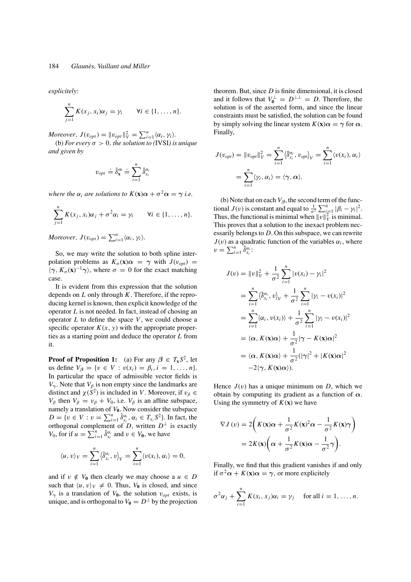*explicitely*:

$$
\sum_{j=1}^n K(x_j, x_i) \alpha_j = \gamma_i \qquad \forall i \in \{1, \ldots, n\}.
$$

*Moreover*,  $J(v_{opt}) = ||v_{opt}||_V^2 = \sum_{i=1}^n \langle \alpha_i, \gamma_i \rangle$ . (b) *For every*  $\sigma > 0$ *, the solution to (IVSI) is unique and given by*

$$
v_{opt} \doteq \hat{\delta}_{\mathbf{x}}^{\alpha} \doteq \sum_{i=1}^{n} \hat{\delta}_{x_i}^{\alpha_i}
$$

*where the*  $\alpha_i$  *are solutions to*  $K(\mathbf{x})\alpha + \sigma^2\alpha = \gamma$  *i.e.* 

$$
\sum_{j=1}^n K(x_j, x_i) \alpha_j + \sigma^2 \alpha_i = \gamma_i \qquad \forall i \in \{1, \ldots, n\}.
$$

*Moreover*,  $J(v_{opt}) = \sum_{i=1}^{n} \langle \alpha_i, \gamma_i \rangle$ .

So, we may write the solution to both spline interpolation problems as  $K_{\sigma}(\mathbf{x})\alpha = \gamma$  with  $J(v_{\text{opt}}) =$  $\langle \gamma, K_{\sigma}(\mathbf{x})^{-1} \gamma \rangle$ , where  $\sigma = 0$  for the exact matching case.

It is evident from this expression that the solution depends on *L* only through *K*. Therefore, if the reproducing kernel is known, then explicit knowledge of the operator *L* is not needed. In fact, instead of chosing an operator *L* to define the space *V*, we could choose a specific operator  $K(x, y)$  with the appropriate properties as a starting point and deduce the operator *L* from it.

**Proof of Proposition 1:** (a) For any  $\beta \in T_{\mathbf{x}} S^2$ , let us define  $V_{\beta} = \{v \in V : v(x_i) = \beta_i, i = 1, ..., n\}.$ In particular the space of admissible vector fields is  $V_{\gamma}$ . Note that  $V_{\beta}$  is non empty since the landmarks are distinct and  $\chi(S^2)$  is included in *V*. Moreover, if  $v_\beta \in$  $V_\beta$  then  $V_\beta = v_\beta + V_0$ , i.e.  $V_\beta$  is an affine subspace, namely a translation of  $V_0$ . Now consider the subspace  $D = \{v \in V : v = \sum_{i=1}^{n} \hat{\delta}_{x_i}^{a_i}, \alpha_i \in T_{x_i} S^2\}$ . In fact, the orthogonal complement of *D*, written  $D^{\perp}$  is exactly *V*<sub>0</sub>, for if  $u = \sum_{i=1}^{n} \hat{\delta}_{x_i}^{a_i}$  and  $v \in V_0$ , we have

$$
\langle u, v \rangle_V = \sum_{i=1}^n \langle \hat{\delta}_{x_i}^{\alpha_i}, v \rangle_V = \sum_{i=1}^n \langle v(x_i), \alpha_i \rangle = 0,
$$

and if  $v \notin V_0$  then clearly we may choose a  $u \in D$ such that  $\langle u, v \rangle_V \neq 0$ . Thus,  $V_0$  is closed, and since  $V_{\gamma}$  is a translation of  $V_{0}$ , the solution  $v_{opt}$  exists, is unique, and is orthogonal to  $V_0 = D^{\perp}$  by the projection theorem. But, since *D* is finite dimensional, it is closed and it follows that  $V_0^{\perp} = D^{\perp \perp} = D$ . Therefore, the solution is of the asserted form, and since the linear constraints must be satisfied, the solution can be found by simply solving the linear system  $K(\mathbf{x})\alpha = \gamma$  for  $\alpha$ . Finally,

$$
J(v_{opt}) = ||v_{opt}||_V^2 = \sum_{i=1}^n \langle \hat{\delta}_{x_i}^{\alpha_i}, v_{opt} \rangle_V = \sum_{i=1}^n \langle v(x_i), \alpha_i \rangle
$$
  
= 
$$
\sum_{i=1}^n \langle \gamma_i, \alpha_i \rangle = \langle \gamma, \alpha \rangle.
$$

(b) Note that on each  $V_\beta$ , the second term of the functional *J*(*v*) is constant and equal to  $\frac{1}{\sigma^2} \sum_{i=1}^n |\beta_i - \gamma_i|^2$ . Thus, the functional is minimal when  $||v||_V^2$  is minimal. This proves that a solution to the inexact problem necessarily belongs to *D*. On this subspace, we can rewrite  $J(v)$  as a quadratic function of the variables  $\alpha_i$ , where  $v=\sum_{i=1}^n \hat{\delta}^{\alpha_i}_{x_i}$ :

$$
J(v) = ||v||_V^2 + \frac{1}{\sigma^2} \sum_{i=1}^n |v(x_i) - \gamma_i|^2
$$
  
\n
$$
= \sum_{i=1}^n \langle \hat{\delta}_{x_i}^{\alpha_i}, v \rangle_V + \frac{1}{\sigma^2} \sum_{i=1}^n |\gamma_i - v(x_i)|^2
$$
  
\n
$$
= \sum_{i=1}^n \langle \alpha_i, v(x_i) \rangle + \frac{1}{\sigma^2} \sum_{i=1}^n |\gamma_i - v(x_i)|^2
$$
  
\n
$$
= \langle \alpha, K(\mathbf{x})\alpha \rangle + \frac{1}{\sigma^2} |\gamma - K(\mathbf{x})\alpha|^2
$$
  
\n
$$
= \langle \alpha, K(\mathbf{x})\alpha \rangle + \frac{1}{\sigma^2} (|\gamma|^2 + |K(\mathbf{x})\alpha|^2
$$
  
\n
$$
-2\langle \gamma, K(\mathbf{x})\alpha \rangle).
$$

Hence  $J(v)$  has a unique minimum on  $D$ , which we obtain by computing its gradient as a function of  $\alpha$ . Using the symmetry of  $K(\mathbf{x})$  we have

$$
\nabla J(v) = 2\left(K(\mathbf{x})\alpha + \frac{1}{\sigma^2}K(\mathbf{x})^2\alpha - \frac{1}{\sigma^2}K(\mathbf{x})\gamma\right)
$$

$$
= 2K(\mathbf{x})\left(\alpha + \frac{1}{\sigma^2}K(\mathbf{x})\alpha - \frac{1}{\sigma^2}\gamma\right).
$$

Finally, we find that this gradient vanishes if and only if  $\sigma^2 \alpha + K(\mathbf{x})\alpha = \gamma$ , or more explicitely

$$
\sigma^2 \alpha_j + \sum_{i=1}^n K(x_i, x_j) \alpha_i = \gamma_j \quad \text{ for all } i = 1, \dots, n.
$$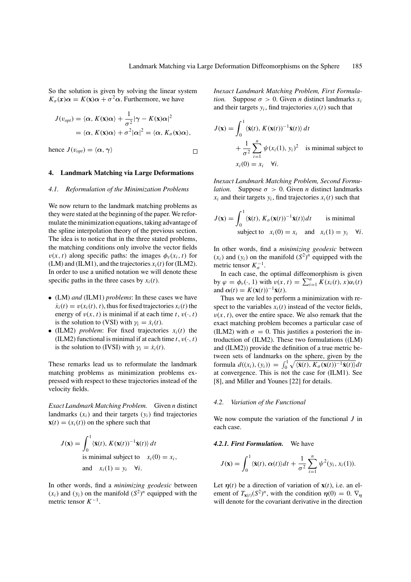So the solution is given by solving the linear system  $K_{\sigma}(\mathbf{x})\alpha = K(\mathbf{x})\alpha + \sigma^2\alpha$ . Furthermore, we have

$$
J(v_{opt}) = \langle \alpha, K(\mathbf{x})\alpha \rangle + \frac{1}{\sigma^2} |\gamma - K(\mathbf{x})\alpha|^2
$$
  
=  $\langle \alpha, K(\mathbf{x})\alpha \rangle + \sigma^2 |\alpha|^2 = \langle \alpha, K_{\sigma}(\mathbf{x})\alpha \rangle$ ,

hence  $J(v_{opt}) = \langle \alpha, \gamma \rangle$  $\Box$ 

# **4. Landmark Matching via Large Deformations**

#### *4.1. Reformulation of the Minimization Problems*

We now return to the landmark matching problems as they were stated at the beginning of the paper. We reformulate the minimization equations, taking advantage of the spline interpolation theory of the previous section. The idea is to notice that in the three stated problems, the matching conditions only involve the vector fields  $v(x, t)$  along specific paths: the images  $\phi_v(x_i, t)$  for (LM) and (ILM1), and the trajectories *xi*(*t*) for (ILM2). In order to use a unified notation we will denote these specific paths in the three cases by  $x_i(t)$ .

- (LM) *and* (ILM1) *problems*: In these cases we have  $\dot{x}_i(t) = v(x_i(t), t)$ , thus for fixed trajectories  $x_i(t)$  the energy of  $v(x, t)$  is minimal if at each time *t*,  $v(\cdot, t)$ is the solution to (VSI) with  $\gamma_i = \dot{x}_i(t)$ .
- (ILM2) *problem*: For fixed trajectories  $x_i(t)$  the (ILM2) functional is minimal if at each time  $t$ ,  $v(\cdot, t)$ is the solution to (IVSI) with  $\gamma_i = \dot{x}_i(t)$ .

These remarks lead us to reformulate the landmark matching problems as minimization problems expressed with respect to these trajectories instead of the velocity fields.

*Exact Landmark Matching Problem.* Given *n* distinct landmarks  $(x_i)$  and their targets  $(y_i)$  find trajectories  $\mathbf{x}(t) = (x_i(t))$  on the sphere such that

$$
J(\mathbf{x}) = \int_0^1 \langle \dot{\mathbf{x}}(t), K(\mathbf{x}(t))^{-1} \dot{\mathbf{x}}(t) \rangle dt
$$
  
is minimal subject to  $x_i(0) = x_i$ ,  
and  $x_i(1) = y_i \quad \forall i$ .

In other words, find a *minimizing geodesic* between  $(x_i)$  and  $(y_i)$  on the manifold  $(S^2)^n$  equipped with the metric tensor  $K^{-1}$ .

*Inexact Landmark Matching Problem, First Formulation.* Suppose  $\sigma > 0$ . Given *n* distinct landmarks  $x_i$ and their targets  $y_i$ , find trajectories  $x_i(t)$  such that

$$
J(\mathbf{x}) = \int_0^1 \langle \dot{\mathbf{x}}(t), K(\mathbf{x}(t))^{-1} \dot{\mathbf{x}}(t) \rangle dt
$$
  
+  $\frac{1}{\sigma^2} \sum_{i=1}^n \psi(x_i(1), y_i)^2$  is minimal subject to  
 $x_i(0) = x_i \quad \forall i.$ 

*Inexact Landmark Matching Problem, Second Formulation.* Suppose  $\sigma > 0$ . Given *n* distinct landmarks  $x_i$  and their targets  $y_i$ , find trajectories  $x_i(t)$  such that

$$
J(\mathbf{x}) = \int_0^1 \langle \dot{\mathbf{x}}(t), K_{\sigma}(\mathbf{x}(t))^{-1} \dot{\mathbf{x}}(t) \rangle dt \quad \text{is minimal}
$$
  
subject to  $x_i(0) = x_i$  and  $x_i(1) = y_i$   $\forall i$ .

In other words, find a *minimizing geodesic* between  $(x_i)$  and  $(y_i)$  on the manifold  $(S^2)^n$  equipped with the metric tensor  $K_{\sigma}^{-1}$ .

In each case, the optimal diffeomorphism is given by  $\varphi = \phi_v(\cdot, 1)$  with  $v(x, t) = \sum_{i=1}^n K(x_i(t), x) \alpha_i(t)$ and  $\alpha(t) = K(\mathbf{x}(t))^{-1}\dot{\mathbf{x}}(t)$ .

Thus we are led to perform a minimization with respect to the variables  $x_i(t)$  instead of the vector fields,  $v(x, t)$ , over the entire space. We also remark that the exact matching problem becomes a particular case of (ILM2) with  $\sigma = 0$ . This justifies a posteriori the introduction of (ILM2). These two formulations ((LM) and (ILM2)) provide the definition of a true metric between sets of landmarks on the sphere, given by the formula  $d((x_i), (y_i)) = \int_0^1 \sqrt{\langle \dot{\mathbf{x}}(t), K_\sigma(\mathbf{x}(t))^{-1} \dot{\mathbf{x}}(t) \rangle} dt$ at convergence. This is not the case for (ILM1). See [8], and Miller and Younes [22] for details.

#### *4.2. Variation of the Functional*

We now compute the variation of the functional *J* in each case.

# *4.2.1. First Formulation.* We have

$$
J(\mathbf{x}) = \int_0^1 \langle \dot{\mathbf{x}}(t), \alpha(t) \rangle dt + \frac{1}{\sigma^2} \sum_{i=1}^n \psi^2(y_i, x_i(1)).
$$

Let  $\eta(t)$  be a direction of variation of  $\mathbf{x}(t)$ , i.e. an element of  $T_{\mathbf{x}(t)}(S^2)^n$ , with the condition  $\eta(0) = 0$ .  $\nabla_{\eta}$ will denote for the covariant derivative in the direction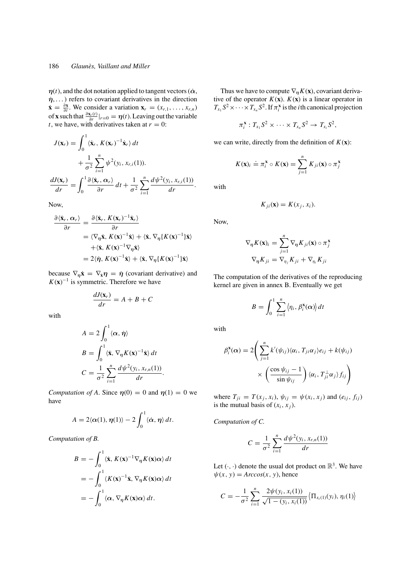# 186 *Glaunes, Vaillant and Miller `*

 $\eta(t)$ , and the dot notation applied to tangent vectors ( $\dot{\alpha}$ ,  $η$ ,...) refers to covariant derivatives in the direction  $\dot{\mathbf{x}} = \frac{\partial \mathbf{x}}{\partial t}$ . We consider a variation  $\mathbf{x}_r = (x_{r,1}, \dots, x_{r,n})$ of **x** such that  $\frac{\partial \mathbf{x}_r(t)}{\partial r}|_{r=0} = \eta(t)$ . Leaving out the variable *t*, we have, with derivatives taken at  $r = 0$ :

$$
J(\mathbf{x}_r) = \int_0^1 \langle \dot{\mathbf{x}}_r, K(\mathbf{x}_r)^{-1} \dot{\mathbf{x}}_r \rangle dt
$$
  
+ 
$$
\frac{1}{\sigma^2} \sum_{i=1}^n \psi^2(y_i, x_{r,i}(1)).
$$
  

$$
\frac{dJ(\mathbf{x}_r)}{dr} = \int_0^1 \frac{\partial \langle \dot{\mathbf{x}}_r, \alpha_r \rangle}{\partial r} dt + \frac{1}{\sigma^2} \sum_{i=1}^n \frac{d\psi^2(y_i, x_{r,i}(1))}{dr}.
$$

Now,

$$
\frac{\partial \langle \dot{\mathbf{x}}_r, \alpha_r \rangle}{\partial r} = \frac{\partial \langle \dot{\mathbf{x}}_r, K(\mathbf{x}_r)^{-1} \dot{\mathbf{x}}_r \rangle}{\partial r}
$$
  
\n
$$
= \langle \nabla_\eta \dot{\mathbf{x}}, K(\mathbf{x})^{-1} \dot{\mathbf{x}} \rangle + \langle \dot{\mathbf{x}}, \nabla_\eta \{ K(\mathbf{x})^{-1} \} \dot{\mathbf{x}} \rangle
$$
  
\n
$$
+ \langle \dot{\mathbf{x}}, K(\mathbf{x})^{-1} \nabla_\eta \dot{\mathbf{x}} \rangle
$$
  
\n
$$
= 2 \langle \dot{\eta}, K(\mathbf{x})^{-1} \dot{\mathbf{x}} \rangle + \langle \dot{\mathbf{x}}, \nabla_\eta \{ K(\mathbf{x})^{-1} \} \dot{\mathbf{x}} \rangle
$$

because  $\nabla_{\eta} \dot{\mathbf{x}} = \nabla_{\dot{\mathbf{x}}} \eta = \dot{\eta}$  (covariant derivative) and  $K(\mathbf{x})^{-1}$  is symmetric. Therefore we have

$$
\frac{dJ(\mathbf{x}_r)}{dr} = A + B + C
$$

with

$$
A = 2 \int_0^1 \langle \alpha, \eta \rangle
$$
  
\n
$$
B = \int_0^1 \langle \dot{\mathbf{x}}, \nabla_{\eta} K(\mathbf{x})^{-1} \dot{\mathbf{x}} \rangle dt
$$
  
\n
$$
C = \frac{1}{\sigma^2} \sum_{i=1}^n \frac{d\psi^2(y_i, x_{r,n}(1))}{dr}.
$$

*Computation of A*. Since  $\eta(0) = 0$  and  $\eta(1) = 0$  we have

$$
A = 2\langle \alpha(1), \eta(1) \rangle - 2 \int_0^1 \langle \dot{\alpha}, \eta \rangle dt.
$$

*Computation of B.*

$$
B = -\int_0^1 \langle \dot{\mathbf{x}}, K(\mathbf{x})^{-1} \nabla_\eta K(\mathbf{x}) \alpha \rangle dt
$$
  
=  $-\int_0^1 \langle K(\mathbf{x})^{-1} \dot{\mathbf{x}}, \nabla_\eta K(\mathbf{x}) \alpha \rangle dt$   
=  $-\int_0^1 \langle \alpha, \nabla_\eta K(\mathbf{x}) \alpha \rangle dt.$ 

Thus we have to compute  $\nabla_{\eta} K(\mathbf{x})$ , covariant derivative of the operator  $K(\mathbf{x})$ .  $K(\mathbf{x})$  is a linear operator in  $T_{x_1} S^2 \times \cdots \times T_{x_n} S^2$ . If  $\pi_i^{\mathbf{x}}$  is the *i*th canonical projection

$$
\pi_i^{\mathbf{x}}: T_{x_1} S^2 \times \cdots \times T_{x_n} S^2 \to T_{x_i} S^2,
$$

we can write, directly from the definition of  $K(\mathbf{x})$ :

$$
K(\mathbf{x})_i \doteq \pi_i^{\mathbf{x}} \circ K(\mathbf{x}) = \sum_{j=1}^n K_{ji}(\mathbf{x}) \circ \pi_j^{\mathbf{x}}
$$

with

$$
K_{ji}(\mathbf{x}) = K(x_j, x_i).
$$

Now,

$$
\nabla_{\eta} K(\mathbf{x})_i = \sum_{j=1}^n \nabla_{\eta} K_{ji}(\mathbf{x}) \circ \pi_j^{\mathbf{x}}
$$

$$
\nabla_{\eta} K_{ji} = \nabla_{\eta_j} K_{ji} + \nabla_{\eta_i} K_{ji}
$$

The computation of the derivatives of the reproducing kernel are given in annex B. Eventually we get

$$
B = \int_0^1 \sum_{i=1}^n \langle \eta_i, \beta_i^{\mathbf{x}}(\alpha) \rangle dt
$$

with

$$
\beta_i^{\mathbf{x}}(\alpha) = 2 \Bigg( \sum_{j=1}^n k'(\psi_{ij}) \langle \alpha_i, T_{ji} \alpha_j \rangle e_{ij} + k(\psi_{ij})
$$

$$
\times \Bigg( \frac{\cos \psi_{ij} - 1}{\sin \psi_{ij}} \Bigg) \langle \alpha_i, T_{ji}^{\perp} \alpha_j \rangle f_{ij} \Bigg)
$$

where  $T_{ji} = T(x_j, x_i)$ ,  $\psi_{ij} = \psi(x_i, x_j)$  and  $(e_{ij}, f_{ij})$ is the mutual basis of  $(x_i, x_j)$ .

*Computation of C.*

$$
C = \frac{1}{\sigma^2} \sum_{i=1}^n \frac{d\psi^2(y_i, x_{r,n}(1))}{dr}
$$

Let  $(\cdot, \cdot)$  denote the usual dot product on  $\mathbb{R}^3$ . We have  $\psi(x, y) = Arccos(x, y)$ , hence

$$
C = -\frac{1}{\sigma^2} \sum_{i=1}^n \frac{2\psi(y_i, x_i(1))}{\sqrt{1 - (y_i, x_i(1))}} \langle \Pi_{x_i(1)}(y_i), \eta_i(1) \rangle
$$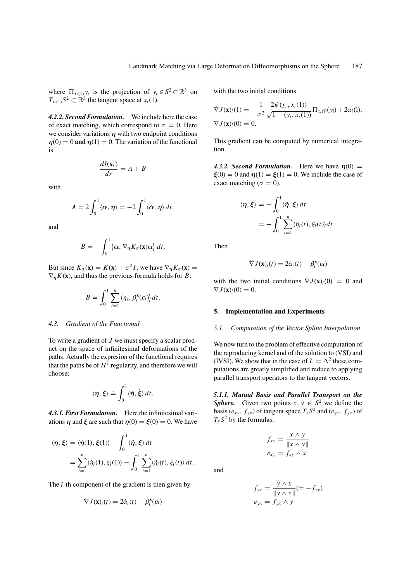where  $\Pi_{x_i(1)} y_i$  is the projection of  $y_i \in S^2 \subset \mathbb{R}^3$  on  $T_{x_i(1)}S^2 \subset \mathbb{R}^3$  the tangent space at  $x_i(1)$ .

*4.2.2. Second Formulation.* We include here the case of exact matching, which correspond to  $\sigma = 0$ . Here we consider variations  $\eta$  with two endpoint conditions  $\eta(0) = 0$  and  $\eta(1) = 0$ . The variation of the functional is

$$
\frac{dJ(\mathbf{x}_r)}{dr} = A + B
$$

with

$$
A = 2 \int_0^1 \langle \alpha, \dot{\eta} \rangle = -2 \int_0^1 \langle \dot{\alpha}, \eta \rangle dt,
$$

and

$$
B=-\int_0^1 \langle \alpha, \nabla_{\eta} K_{\sigma}(\mathbf{x}) \alpha \rangle dt.
$$

But since  $K_{\sigma}(\mathbf{x}) = K(\mathbf{x}) + \sigma^2 I$ , we have  $\nabla_n K_{\sigma}(\mathbf{x}) =$  $\nabla_n K(\mathbf{x})$ , and thus the previous formula holds for *B*:

$$
B=\int_0^1\sum_{i=1}^n\langle\eta_i,\beta_i^{\mathbf{x}}(\alpha)\rangle dt.
$$

### *4.3. Gradient of the Functional*

To write a gradient of *J* we must specify a scalar product on the space of infinitesimal deformations of the paths. Actually the expresion of the functional requires that the paths be of  $H^1$  regularity, and therefore we will choose:

$$
\langle \eta, \xi \rangle \doteq \int_0^1 \langle \dot{\eta}, \dot{\xi} \rangle \, dt.
$$

*4.3.1. First Formulation.* Here the infinitesimal variations  $\eta$  and  $\xi$  are such that  $\eta(0) = \xi(0) = 0$ . We have

$$
\langle \eta, \xi \rangle = \langle \dot{\eta}(1), \xi(1) \rangle - \int_0^1 \langle \dot{\eta}, \xi \rangle dt
$$
  
= 
$$
\sum_{i=1}^n \langle \dot{\eta}_i(1), \xi_i(1) \rangle - \int_0^1 \sum_{i=1}^n \langle \ddot{\eta}_i(t), \xi_i(t) \rangle dt.
$$

The *i*-th component of the gradient is then given by

$$
\ddot{\nabla} J(\mathbf{x})_i(t) = 2\dot{\alpha}_i(t) - \beta_i^{\mathbf{x}}(\alpha)
$$

with the two initial conditions

$$
\nabla J(\mathbf{x})_i(1) = -\frac{1}{\sigma^2} \frac{2\psi(y_i, x_i(1))}{\sqrt{1 - (y_i, x_i(1))}} \Pi_{x_i(1)}(y_i) + 2\alpha_i(1),
$$
  
\n
$$
\nabla J(\mathbf{x})_i(0) = 0.
$$

This gradient can be computed by numerical integration.

**4.3.2. Second Formulation.** Here we have  $\eta(0)$  =  $\mathcal{E}(0) = 0$  and  $\eta(1) = \mathcal{E}(1) = 0$ . We include the case of exact matching ( $\sigma = 0$ ).

$$
\langle \eta, \xi \rangle = -\int_0^1 \langle \dot{\eta}, \xi \rangle dt
$$
  
= 
$$
-\int_0^1 \sum_{i=1}^n \langle \ddot{\eta}_i(t), \xi_i(t) \rangle dt.
$$

Then

$$
\ddot{\nabla} J(\mathbf{x})_i(t) = 2\dot{\alpha}_i(t) - \beta_i^{\mathbf{x}}(\alpha)
$$

with the two initial conditions  $\nabla J(\mathbf{x})_i(0) = 0$  and  $\nabla J(\mathbf{x})_i(0) = 0.$ 

# **5. Implementation and Experiments**

### *5.1. Computation of the Vector Spline Interpolation*

We now turn to the problem of effective computation of the reproducing kernel and of the solution to (VSI) and (IVSI). We show that in the case of  $L = \Delta^2$  these computations are greatly simplified and reduce to applying parallel transport operators to the tangent vectors.

*5.1.1. Mutual Basis and Parallel Transport on the Sphere.* Given two points  $x, y \in S^2$  we define the basis ( $e_{xy}$ ,  $f_{xy}$ ) of tangent space  $T_xS^2$  and ( $e_{yx}$ ,  $f_{yx}$ ) of  $T_vS^2$  by the formulas:

$$
f_{xy} = \frac{x \wedge y}{\|x \wedge y\|}
$$

$$
e_{xy} = f_{xy} \wedge x
$$

and

$$
f_{yx} = \frac{y \wedge x}{\|y \wedge x\|} (= -f_{xy})
$$
  

$$
e_{yx} = f_{yx} \wedge y
$$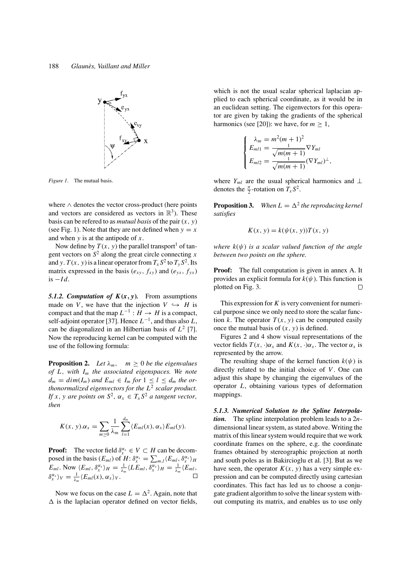

*Figure 1*. The mutual basis.

where ∧ denotes the vector cross-product (here points and vectors are considered as vectors in  $\mathbb{R}^3$ ). These basis can be refered to as *mutual basis* of the pair (*x*, *y*) (see Fig. 1). Note that they are not defined when  $y = x$ and when *y* is at the antipode of *x*.

Now define by  $T(x, y)$  the parallel transport<sup>1</sup> of tangent vectors on  $S^2$  along the great circle connecting *x* and *y*.  $T(x, y)$  is a linear operator from  $T_x S^2$  to  $T_y S^2$ . Its matrix expressed in the basis ( $e_{xy}$ ,  $f_{xy}$ ) and ( $e_{yx}$ ,  $f_{yx}$ )  $i$ s  $-Id$ .

5.1.2. Computation of  $K(x, y)$ . From assumptions made on *V*, we have that the injection  $V \hookrightarrow H$  is compact and that the map  $L^{-1}: H \to H$  is a compact, self-adjoint operator [37]. Hence  $L^{-1}$ , and thus also  $L$ , can be diagonalized in an Hilbertian basis of *L*<sup>2</sup> [7]. Now the reproducing kernel can be computed with the use of the following formula:

**Proposition 2.** *Let*  $\lambda_m$ , *m*  $\geq$  0 *be the eigenvalues of L*, *with Im the associated eigenspaces. We note*  $d_m = \dim(I_m)$  *and*  $E_{ml} \in I_m$  *for*  $1 \leq l \leq d_m$  *the orthonormalized eigenvectors for the L*<sup>2</sup> *scalar product. If x*, *y* are *points on*  $S^2$ ,  $\alpha_x \in T_xS^2$  *a tangent vector*, *then*

$$
K(x, y).\alpha_x = \sum_{m \geq 0} \frac{1}{\lambda_m} \sum_{l=1}^{d_m} \langle E_{ml}(x), \alpha_x \rangle E_{ml}(y).
$$

**Proof:** The vector field  $\delta_x^{\alpha_x} \in V \subset H$  can be decomposed in the basis  $(E_{ml})$  of  $H: \delta_x^{\alpha_x} = \sum_{m,l} \langle E_{ml}, \delta_x^{\alpha_x} \rangle_H$  $E_{ml}$ . Now  $\langle E_{ml}, \delta_x^{\alpha_x} \rangle_H = \frac{1}{\lambda_m} \langle LE_{ml}, \delta_x^{\alpha_x} \rangle_H = \frac{1}{\lambda_m} \langle E_{ml}, E_{ml} \rangle$  $\delta_{x}^{\alpha_{x}}\rangle_{V} = \frac{1}{\lambda_{m}}\langle E_{ml}(x), \alpha_{x}\rangle_{V}.$ 

Now we focus on the case  $L = \Delta^2$ . Again, note that  $\Delta$  is the laplacian operator defined on vector fields, which is not the usual scalar spherical laplacian applied to each spherical coordinate, as it would be in an euclidean setting. The eigenvectors for this operator are given by taking the gradients of the spherical harmonics (see [20]): we have, for  $m \geq 1$ ,

$$
\begin{cases}\n\lambda_m = m^2(m+1)^2 \\
E_{m1} = \frac{1}{\sqrt{m(m+1)}} \nabla Y_{ml} \\
E_{m12} = \frac{1}{\sqrt{m(m+1)}} (\nabla Y_{ml})^{\perp},\n\end{cases}
$$

where *Y<sub>ml</sub>* are the usual spherical harmonics and ⊥ denotes the  $\frac{\pi}{2}$ -rotation on  $T_x S^2$ .

**Proposition 3.** When  $L = \Delta^2$  the reproducing kernel *satisfies*

$$
K(x, y) = k(\psi(x, y))T(x, y)
$$

*where k*(ψ) *is a scalar valued function of the angle between two points on the sphere.*

**Proof:** The full computation is given in annex A. It provides an explicit formula for  $k(\psi)$ . This function is plotted on Fig. 3.  $\Box$ 

This expression for *K* is very convenient for numerical purpose since we only need to store the scalar function  $k$ . The operator  $T(x, y)$  can be computed easily once the mutual basis of  $(x, y)$  is defined.

Figures 2 and 4 show visual representations of the vector fields  $T(x, \cdot)\alpha_x$  and  $K(x, \cdot)\alpha_x$ . The vector  $\alpha_x$  is represented by the arrow.

The resulting shape of the kernel function  $k(\psi)$  is directly related to the initial choice of *V*. One can adjust this shape by changing the eigenvalues of the operator *L*, obtaining various types of deformation mappings.

*5.1.3. Numerical Solution to the Spline Interpolation.* The spline interpolation problem leads to a 2*n*dimensional linear system, as stated above. Writing the matrix of this linear system would require that we work coordinate frames on the sphere, e.g. the coordinate frames obtained by stereographic projection at north and south poles as in Bakircioglu et al. [3]. But as we have seen, the operator  $K(x, y)$  has a very simple expression and can be computed directly using cartesian coordinates. This fact has led us to choose a conjugate gradient algorithm to solve the linear system without computing its matrix, and enables us to use only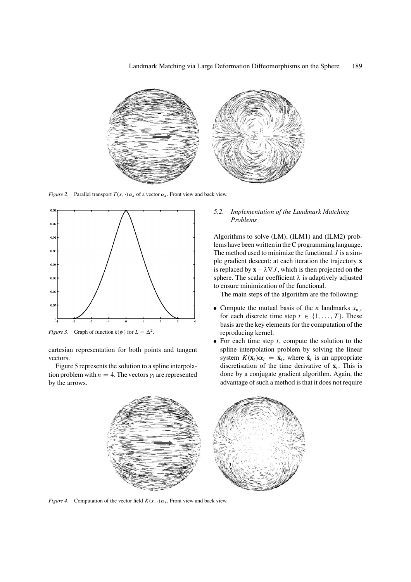

*Figure 2.* Parallel transport  $T(x, \cdot) \alpha_x$  of a vector  $\alpha_x$ . Front view and back view.



*Figure 3.* Graph of function  $k(\psi)$  for  $L = \Delta^2$ .

cartesian representation for both points and tangent vectors.

Figure 5 represents the solution to a spline interpolation problem with  $n = 4$ . The vectors  $\gamma_i$  are represented by the arrows.

# *5.2. Implementation of the Landmark Matching Problems*

Algorithms to solve (LM), (ILM1) and (ILM2) problems have been written in the C programming language. The method used to minimize the functional *J* is a simple gradient descent: at each iteration the trajectory **x** is replaced by  $\mathbf{x} - \lambda \nabla J$ , which is then projected on the sphere. The scalar coefficient  $\lambda$  is adaptively adjusted to ensure minimization of the functional.

The main steps of the algorithm are the following:

- Compute the mutual basis of the *n* landmarks  $x_{n,t}$ for each discrete time step  $t \in \{1, ..., T\}$ . These basis are the key elements for the computation of the reproducing kernel.
- For each time step *t*, compute the solution to the spline interpolation problem by solving the linear system  $K(\mathbf{x}_t)\alpha_t = \dot{\mathbf{x}}_t$ , where  $\dot{\mathbf{x}}_t$  is an appropriate discretisation of the time derivative of  $\mathbf{x}_t$ . This is done by a conjugate gradient algorithm. Again, the advantage of such a method is that it does not require



*Figure 4.* Computation of the vector field  $K(x, \cdot) \alpha_x$ . Front view and back view.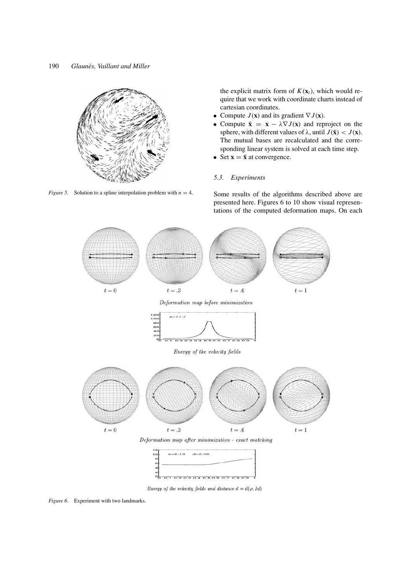

*Figure 5.* Solution to a spline interpolation problem with  $n = 4$ .

the explicit matrix form of  $K(\mathbf{x}_t)$ , which would require that we work with coordinate charts instead of cartesian coordinates.

- Compute  $J(\mathbf{x})$  and its gradient  $\nabla J(\mathbf{x})$ .
- Compute  $\tilde{\mathbf{x}} = \mathbf{x} \lambda \nabla J(\mathbf{x})$  and reproject on the sphere, with different values of  $\lambda$ , until  $J(\tilde{\mathbf{x}}) < J(\mathbf{x})$ . The mutual bases are recalculated and the corresponding linear system is solved at each time step.
- Set  $\mathbf{x} = \tilde{\mathbf{x}}$  at convergence.

# *5.3. Experiments*

Some results of the algorithms described above are presented here. Figures 6 to 10 show visual representations of the computed deformation maps. On each





Energy of the velocity fields and distance  $d = d(\varphi, Id)$ 

*Figure 6*. Experiment with two landmarks.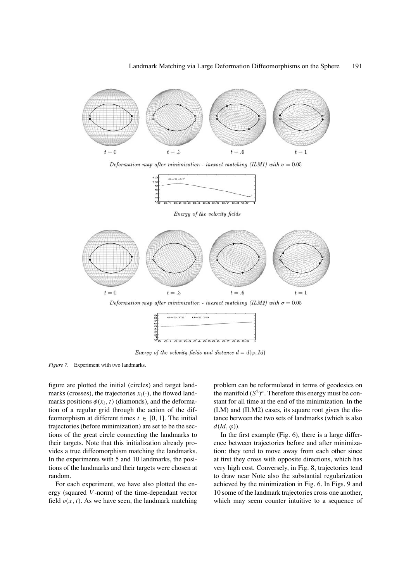

Deformation map after minimization - inexact matching (ILM1) with  $\sigma = 0.05$ 



Energy of the velocity fields



Energy of the velocity fields and distance  $d = d(\varphi, Id)$ 

*Figure 7*. Experiment with two landmarks.

figure are plotted the initial (circles) and target landmarks (crosses), the trajectories  $x_i(\cdot)$ , the flowed landmarks positions  $\phi(x_i, t)$  (diamonds), and the deformation of a regular grid through the action of the diffeomorphism at different times  $t \in [0, 1]$ . The initial trajectories (before minimization) are set to be the sections of the great circle connecting the landmarks to their targets. Note that this initialization already provides a true diffeomorphism matching the landmarks. In the experiments with 5 and 10 landmarks, the positions of the landmarks and their targets were chosen at random.

For each experiment, we have also plotted the energy (squared *V*-norm) of the time-dependant vector field  $v(x, t)$ . As we have seen, the landmark matching

problem can be reformulated in terms of geodesics on the manifold  $(S^2)^n$ . Therefore this energy must be constant for all time at the end of the minimization. In the (LM) and (ILM2) cases, its square root gives the distance between the two sets of landmarks (which is also  $d(Id, \varphi)$ ).

In the first example (Fig. 6), there is a large difference between trajectories before and after minimization: they tend to move away from each other since at first they cross with opposite directions, which has very high cost. Conversely, in Fig. 8, trajectories tend to draw near Note also the substantial regularization achieved by the minimization in Fig. 6. In Figs. 9 and 10 some of the landmark trajectories cross one another, which may seem counter intuitive to a sequence of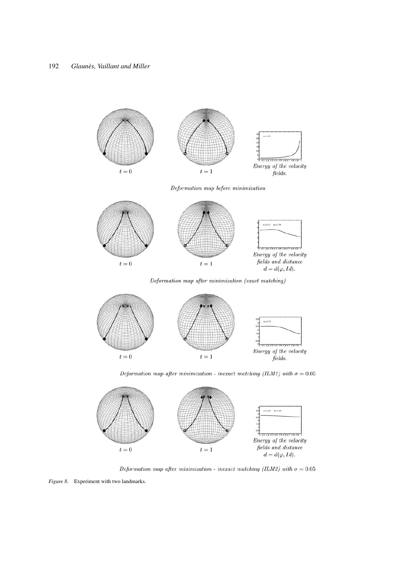



Deformation map after minimization - inexact matching (ILM2) with  $\sigma = 0.05$ 

*Figure 8*. Experiment with two landmarks.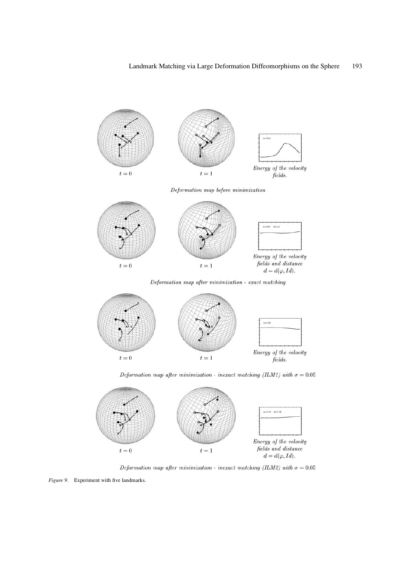



Deformation map after minimization - inexact matching (ILM2) with  $\sigma = 0.05$ 

*Figure 9*. Experiment with five landmarks.

 $t=0$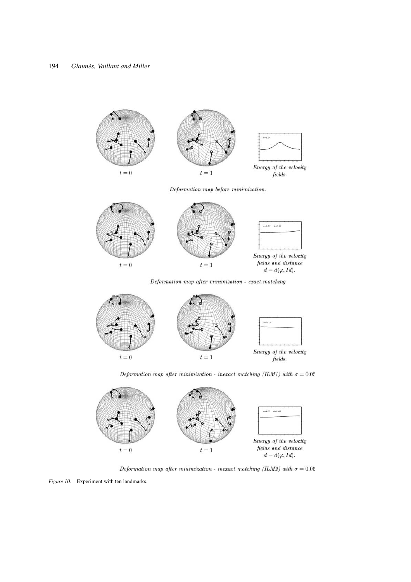$0 - 8.94$ Energy of the velocity  $t=0$  $t=1$  $fields.$ Deformation map before minimization.  $0.07 - 0.262$ Energy of the velocity  $\it fields$  and  $\it distance$  $t=0$  $t=1\,$  $d = d(\varphi, Id).$ Deformation map after minimization - exact matching  $e=3.19$ Energy of the velocity  $t=0$  $t=1$ fields. Deformation map after minimization - inexact matching (ILM1) with  $\sigma = 0.05$ 



Deformation map after minimization - inexact matching (ILM2) with  $\sigma=0.05$ 

*Figure 10.* Experiment with ten landmarks.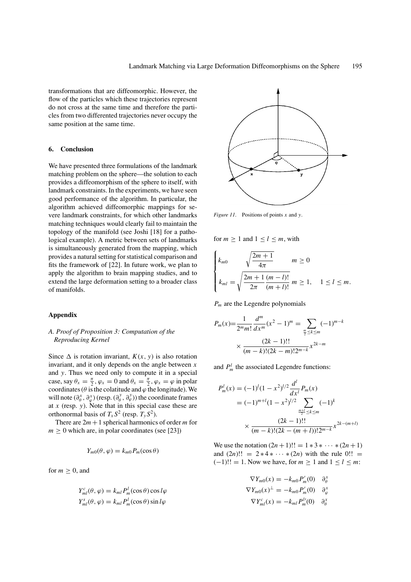transformations that are diffeomorphic. However, the flow of the particles which these trajectories represent do not cross at the same time and therefore the particles from two differented trajectories never occupy the same position at the same time.

# **6. Conclusion**

We have presented three formulations of the landmark matching problem on the sphere—the solution to each provides a diffeomorphism of the sphere to itself, with landmark constraints. In the experiments, we have seen good performance of the algorithm. In particular, the algorithm achieved diffeomorphic mappings for severe landmark constraints, for which other landmarks matching techniques would clearly fail to maintain the topology of the manifold (see Joshi [18] for a pathological example). A metric between sets of landmarks is simultaneously generated from the mapping, which provides a natural setting for statistical comparison and fits the framework of [22]. In future work, we plan to apply the algorithm to brain mapping studies, and to extend the large deformation setting to a broader class of manifolds.

# **Appendix**

# *A. Proof of Proposition 3: Computation of the Reproducing Kernel*

Since  $\Delta$  is rotation invariant,  $K(x, y)$  is also rotation invariant, and it only depends on the angle between *x* and *y*. Thus we need only to compute it in a special case, say  $\theta_x = \frac{\pi}{2}$ ,  $\varphi_x = 0$  and  $\theta_x = \frac{\pi}{2}$ ,  $\varphi_x = \varphi$  in polar coordinates ( $\theta$  is the colatitude and  $\varphi$  the longitude). We will note  $(\partial_{\theta}^{x}, \partial_{\varphi}^{x})$  (resp.  $(\partial_{\theta}^{y}, \partial_{\varphi}^{y})$ ) the coordinate frames at *x* (resp. *y*). Note that in this special case these are orthonormal basis of  $T_xS^2$  (resp.  $T_yS^2$ ).

There are  $2m + 1$  spherical harmonics of order *m* for  $m \geq 0$  which are, in polar coordinates (see [23])

$$
Y_{m0}(\theta,\varphi)=k_{m0}P_m(\cos\theta)
$$

for  $m \geq 0$ , and

$$
Y_{ml}^{c}(\theta, \varphi) = k_{ml} P_{m}^{l}(\cos \theta) \cos l\varphi
$$
  

$$
Y_{ml}^{s}(\theta, \varphi) = k_{ml} P_{m}^{l}(\cos \theta) \sin l\varphi
$$



*Figure 11*. Positions of points *x* and *y*.

for  $m > 1$  and  $1 < l < m$ , with

$$
\begin{cases}\nk_{m0} & \sqrt{\frac{2m+1}{4\pi}} & m \ge 0 \\
k_{ml} = \sqrt{\frac{2m+1}{2\pi} \frac{(m-l)!}{(m+l)!}} & m \ge 1, \quad 1 \le l \le m.\n\end{cases}
$$

*Pm* are the Legendre polynomials

$$
P_m(x) = \frac{1}{2^m m!} \frac{d^m}{dx^m} (x^2 - 1)^m = \sum_{\frac{m}{2} \le k \le m} (-1)^{m-k}
$$

$$
\times \frac{(2k-1)!!}{(m-k)!(2k-m)!2^{m-k}} x^{2k-m}
$$

and  $P_m^l$  the associated Legendre functions:

$$
P_m^l(x) = (-1)^l (1 - x^2)^{l/2} \frac{d^l}{dx^l} P_m(x)
$$
  
=  $(-1)^{m+l} (1 - x^2)^{l/2} \sum_{\frac{m+l}{2} \le k \le m} (-1)^k$   
 $\times \frac{(2k-1)!!}{(m-k)!(2k-(m+l))!2^{m-k}} x^{2k-(m+l)}$ 

We use the notation  $(2n + 1)!! = 1 * 3 * \cdots * (2n + 1)$ and  $(2n)!! = 2 * 4 * \cdots * (2n)$  with the rule  $0!! =$  $(-1)!! = 1$ . Now we have, for *m* ≥ 1 and  $1 ≤ l ≤ m$ :

$$
\nabla Y_{m0}(x) = -k_{m0} P'_m(0) \quad \partial_{\theta}^x
$$
  

$$
\nabla Y_{m0}(x)^{\perp} = -k_{m0} P'_m(0) \quad \partial_{\phi}^x
$$
  

$$
\nabla Y_{ml}^c(x) = -k_{ml} P'_m(0) \quad \partial_{\theta}^x
$$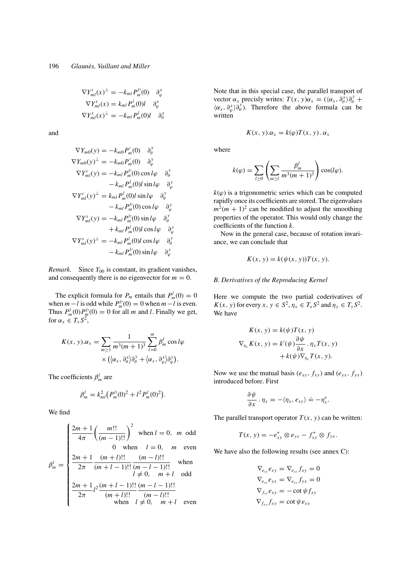$$
\nabla Y_{ml}^c(x)^\perp = -k_{ml} P_m^{l\prime}(0) \quad \partial_\varphi^x
$$
  

$$
\nabla Y_{ml}^s(x) = k_{ml} P_m^l(0)l \quad \partial_\varphi^x
$$
  

$$
\nabla Y_{ml}^s(x)^\perp = -k_{ml} P_m^l(0)l \quad \partial_\varphi^x
$$

and

$$
\nabla Y_{m0}(y) = -k_{m0} P'_{m}(0) \quad \partial_{\theta}^{y}
$$
  
\n
$$
\nabla Y_{m0}(y)^{\perp} = -k_{m0} P'_{m}(0) \quad \partial_{\varphi}^{y}
$$
  
\n
$$
\nabla Y_{ml}^{c}(y) = -k_{ml} P'_{m}(0) \cos l\varphi \quad \partial_{\theta}^{y}
$$
  
\n
$$
-k_{ml} P'_{m}(0) l \sin l\varphi \quad \partial_{\varphi}^{y}
$$
  
\n
$$
\nabla Y_{ml}^{c}(y)^{\perp} = k_{ml} P'_{m}(0) l \sin l\varphi \quad \partial_{\theta}^{y}
$$
  
\n
$$
-k_{ml} P'_{m}(0) \cos l\varphi \quad \partial_{\varphi}^{y}
$$
  
\n
$$
\nabla Y_{ml}^{s}(y) = -k_{ml} P'_{m}(0) \sin l\varphi \quad \partial_{\theta}^{y}
$$
  
\n
$$
+ k_{ml} P'_{m}(0) l \cos l\varphi \quad \partial_{\varphi}^{y}
$$
  
\n
$$
\nabla Y_{ml}^{s}(y)^{\perp} = -k_{ml} P'_{m}(0) l \cos l\varphi \quad \partial_{\theta}^{y}
$$
  
\n
$$
-k_{ml} P'_{m}(0) \sin l\varphi \quad \partial_{\varphi}^{y}
$$

*Remark.* Since  $Y_{00}$  is constant, its gradient vanishes, and consequently there is no eigenvector for  $m = 0$ .

The explicit formula for  $P_m$  entails that  $P_m^l(0) = 0$ when  $m - l$  is odd while  $P_m^{l'}(0) = 0$  when  $m - l$  is even. Thus  $P_m^l(0)P_m^{l}(0) = 0$  for all *m* and *l*. Finally we get, for  $\alpha_x \in T_x S^2$ ,

$$
K(x, y).\alpha_x = \sum_{m \ge 1} \frac{1}{m^3(m+1)^3} \sum_{l=0}^m \beta_m^l \cos l\varphi
$$
  
 
$$
\times (\langle \alpha_x, \partial_\theta^x \rangle \partial_\theta^y + \langle \alpha_x, \partial_\varphi^x \rangle \partial_\varphi^y).
$$

The coefficients  $\beta_m^l$  are

$$
\beta_m^l = k_{ml}^2 (P_m^{l}(0)^2 + l^2 P_m^l(0)^2).
$$

We find

$$
\beta_m^l = \begin{cases}\n\frac{2m+1}{4\pi} \left( \frac{m!!}{(m-1)!!} \right)^2 & \text{when } l = 0, \ m \text{ odd} \\
0 & \text{when } l = 0, \ m \text{ even} \\
\frac{2m+1}{2\pi} \frac{(m+l)!!}{(m+l-1)!!} \frac{(m-l)!!}{(m-l-1)!!} & \text{when } \\
\frac{2m+1}{2\pi} l^2 \frac{(m+l-1)!!}{(m+l)!!} \frac{(m-l-1)!!}{(m-l)!!} \\
\frac{2m+1}{2\pi} l^2 \frac{(m+l-1)!!}{(m+l)!!} \frac{(m-l)!!}{(m-l)!!} & \text{when } l \neq 0, \ m+l \text{ even}\n\end{cases}
$$

Note that in this special case, the parallel transport of vector  $\alpha_x$  precisly writes:  $T(x, y)\alpha_x = (\langle \alpha_x, \partial_{\theta}^x \rangle \partial_{\theta}^y +$  $\langle \alpha_x, \partial_\varphi^x \rangle \partial_\varphi^y$ . Therefore the above formula can be written

$$
K(x, y). \alpha_x = k(\varphi) T(x, y). \alpha_x
$$

where

$$
k(\varphi) = \sum_{l \geq 0} \left( \sum_{m \geq l} \frac{\beta_m^l}{m^3(m+1)^3} \right) \cos(l\varphi).
$$

 $k(\varphi)$  is a trigonometric series which can be computed rapidly once its coefficients are stored. The eigenvalues  $m^2(m + 1)^2$  can be modified to adjust the smoothing properties of the operator. This would only change the coefficients of the function *k*.

Now in the general case, because of rotation invariance, we can conclude that

$$
K(x, y) = k(\psi(x, y))T(x, y).
$$

# *B. Derivatives of the Reproducing Kernel*

Here we compute the two partial coderivatives of *K*(*x*, *y*) for every *x*,  $y \in S^2$ ,  $\eta_x \in T_x S^2$  and  $\eta_y \in T_y S^2$ . We have

$$
K(x, y) = k(\psi)T(x, y)
$$
  

$$
\nabla_{\eta_x} K(x, y) = k'(\psi)\frac{\partial \psi}{\partial x} \cdot \eta_x T(x, y)
$$
  

$$
+ k(\psi)\nabla_{\eta_x} T(x, y).
$$

Now we use the mutual basis ( $e_{xy}$ ,  $f_{xy}$ ) and ( $e_{yx}$ ,  $f_{yx}$ ) introduced before. First

$$
\frac{\partial \psi}{\partial x} \cdot \eta_x = -\langle \eta_x, e_{xy} \rangle \doteq -\eta_x^e.
$$

The parallel transport operator  $T(x, y)$  can be written:

$$
T(x, y) = -e_{xy}^* \otimes e_{yx} - f_{xy}^* \otimes f_{yx}.
$$

We have also the following results (see annex C):

$$
\nabla_{e_{xy}} e_{xy} = \nabla_{e_{xy}} f_{xy} = 0
$$
  
\n
$$
\nabla_{e_{xy}} e_{yx} = \nabla_{e_{xy}} f_{yx} = 0
$$
  
\n
$$
\nabla_{f_{xy}} e_{xy} = -\cot \psi f_{xy}
$$
  
\n
$$
\nabla_{f_{xy}} f_{xy} = \cot \psi e_{xy}
$$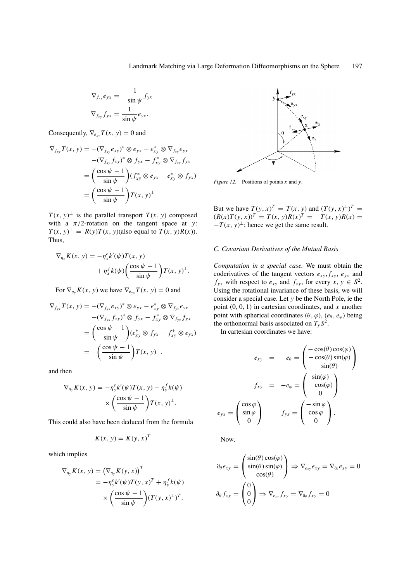$$
\nabla_{f_{xy}} e_{yx} = -\frac{1}{\sin \psi} f_{yx}
$$

$$
\nabla_{f_{xy}} f_{yx} = \frac{1}{\sin \psi} e_{yx}.
$$

Consequently,  $\nabla_{e_{xy}} T(x, y) = 0$  and

$$
\nabla_{f_{xy}} T(x, y) = -(\nabla_{f_{xy}} e_{xy})^* \otimes e_{yx} - e_{xy}^* \otimes \nabla_{f_{xy}} e_{yx}
$$
  
\n
$$
-(\nabla_{f_{xy}} f_{xy})^* \otimes f_{yx} - f_{xy}^* \otimes \nabla_{f_{xy}} f_{yx}
$$
  
\n
$$
= \left(\frac{\cos \psi - 1}{\sin \psi}\right) (f_{xy}^* \otimes e_{yx} - e_{xy}^* \otimes f_{yx})
$$
  
\n
$$
= \left(\frac{\cos \psi - 1}{\sin \psi}\right) T(x, y)^{\perp}
$$

 $T(x, y)$ <sup> $\perp$ </sup> is the parallel transport  $T(x, y)$  composed with a  $\pi/2$ -rotation on the tangent space at *y*:  $T(x, y)^{\perp} = R(y)T(x, y)$ (also equal to  $T(x, y)R(x)$ ). Thus,

$$
\nabla_{\eta_x} K(x, y) = -\eta_x^e k'(\psi) T(x, y)
$$

$$
+ \eta_x^f k(\psi) \left( \frac{\cos \psi - 1}{\sin \psi} \right) T(x, y)^\perp.
$$

For  $\nabla_{\eta_y} K(x, y)$  we have  $\nabla_{e_{yx}} T(x, y) = 0$  and

$$
\nabla_{f_{yx}} T(x, y) = -(\nabla_{f_{yx}} e_{xy})^* \otimes e_{yx} - e_{xy}^* \otimes \nabla_{f_{yx}} e_{yx}
$$
  
\n
$$
-(\nabla_{f_{yx}} f_{xy})^* \otimes f_{yx} - f_{xy}^* \otimes \nabla_{f_{yx}} f_{yx}
$$
  
\n
$$
= \left(\frac{\cos \psi - 1}{\sin \psi}\right) (e_{xy}^* \otimes f_{yx} - f_{xy}^* \otimes e_{yx})
$$
  
\n
$$
= -\left(\frac{\cos \psi - 1}{\sin \psi}\right) T(x, y)^{\perp}.
$$

and then

$$
\nabla_{\eta_y} K(x, y) = -\eta_y^e k'(\psi) T(x, y) - \eta_y^f k(\psi)
$$

$$
\times \left(\frac{\cos \psi - 1}{\sin \psi}\right) T(x, y)^\perp.
$$

This could also have been deduced from the formula

$$
K(x, y) = K(y, x)^T
$$

which implies

$$
\nabla_{\eta_{y}} K(x, y) = (\nabla_{\eta_{y}} K(y, x))^{T}
$$
  
=  $-\eta_{y}^{e} k'(\psi) T(y, x)^{T} + \eta_{y}^{f} k(\psi)$   
 $\times \left(\frac{\cos \psi - 1}{\sin \psi}\right) (T(y, x)^{\perp})^{T}.$ 



*Figure 12*. Positions of points *x* and *y*.

But we have  $T(y, x)^T = T(x, y)$  and  $(T(y, x)^{\perp})^T =$  $(R(x)T(y, x))^T = T(x, y)R(x)^T = -T(x, y)R(x) = 0$  $-T(x, y)$ <sup>⊥</sup>; hence we get the same result.

# *C. Covariant Derivatives of the Mutual Basis*

*Computation in a special case.* We must obtain the coderivatives of the tangent vectors  $e_{xy}$ ,  $f_{xy}$ ,  $e_{yx}$  and *f*<sub>yx</sub> with respect to  $e_{xy}$  and  $f_{xy}$ , for every  $x, y \in S^2$ . Using the rotational invariance of these basis, we will consider a special case. Let *y* be the North Pole, ie the point (0, 0, 1) in cartesian coordinates, and *x* another point with spherical coordinates  $(\theta, \varphi)$ ,  $(e_{\theta}, e_{\varphi})$  being the orthonormal basis associated on  $T_{\nu}S^2$ .

In cartesian coordinates we have:

$$
e_{xy} = -e_{\theta} = \begin{pmatrix} -\cos(\theta)\cos(\varphi) \\ -\cos(\theta)\sin(\varphi) \\ \sin(\theta) \end{pmatrix}
$$

$$
f_{xy} = -e_{\varphi} = \begin{pmatrix} \sin(\varphi) \\ -\cos(\varphi) \\ 0 \end{pmatrix}
$$

$$
e_{yx} = \begin{pmatrix} \cos\varphi \\ \sin\varphi \\ 0 \end{pmatrix} \qquad f_{yx} = \begin{pmatrix} -\sin\varphi \\ \cos\varphi \\ 0 \end{pmatrix}.
$$

Now,

$$
\partial_{\theta} e_{xy} = \begin{pmatrix} \sin(\theta) \cos(\varphi) \\ \sin(\theta) \sin(\varphi) \\ \cos(\theta) \end{pmatrix} \Rightarrow \nabla_{e_{xy}} e_{xy} = \nabla_{\partial_{\theta}} e_{xy} = 0
$$

$$
\partial_{\theta} f_{xy} = \begin{pmatrix} 0 \\ 0 \\ 0 \end{pmatrix} \Rightarrow \nabla_{e_{xy}} f_{xy} = \nabla_{\partial_{\theta}} f_{xy} = 0
$$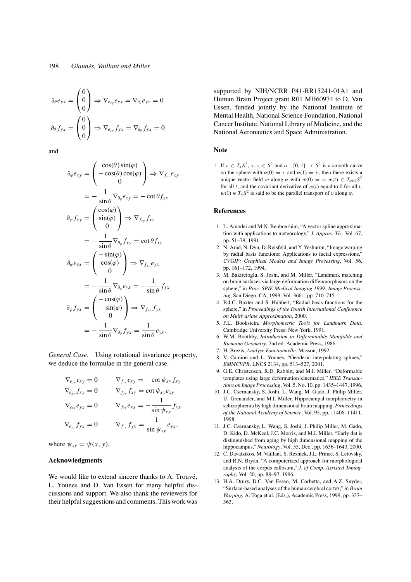$$
\partial_{\theta} e_{yx} = \begin{pmatrix} 0 \\ 0 \\ 0 \end{pmatrix} \Rightarrow \nabla_{e_{xy}} e_{yx} = \nabla_{\partial_{\theta}} e_{yx} = 0
$$

$$
\partial_{\theta} f_{yx} = \begin{pmatrix} 0 \\ 0 \\ 0 \end{pmatrix} \Rightarrow \nabla_{e_{xy}} f_{yx} = \nabla_{\partial_{\theta}} f_{yx} = 0
$$

and

$$
\partial_{\varphi} e_{xy} = \begin{pmatrix} \cos(\theta) \sin(\varphi) \\ -\cos(\theta) \cos(\varphi) \\ 0 \end{pmatrix} \Rightarrow \nabla_{f_{xy}} e_{xy}
$$

$$
= -\frac{1}{\sin \theta} \nabla_{\partial_{\varphi}} e_{xy} = -\cot \theta f_{xy}
$$

$$
\partial_{\varphi} f_{xy} = \begin{pmatrix} \cos(\varphi) \\ \sin(\varphi) \\ 0 \end{pmatrix} \Rightarrow \nabla_{f_{xy}} f_{xy}
$$

$$
= -\frac{1}{\sin \theta} \nabla_{\partial_{\varphi}} f_{xy} = \cot \theta f_{xy}
$$

$$
\partial_{\varphi} e_{yx} = \begin{pmatrix} -\sin(\varphi) \\ \cos(\varphi) \\ 0 \end{pmatrix} \Rightarrow \nabla_{f_{xy}} e_{yx}
$$

$$
= -\frac{1}{\sin \theta} \nabla_{\partial_{\varphi}} e_{yx} = -\frac{1}{\sin \theta} f_{yx}
$$

$$
\partial_{\varphi} f_{yx} = \begin{pmatrix} -\cos(\varphi) \\ -\sin(\varphi) \\ 0 \end{pmatrix} \Rightarrow \nabla_{f_{xy}} f_{yx}
$$

$$
= -\frac{1}{\sin \theta} \nabla_{\partial_{\varphi}} f_{yx} = \frac{1}{\sin \theta} e_{yx}.
$$

*General Case.* Using rotational invariance property, we deduce the formulae in the general case.

$$
\nabla_{e_{xy}} e_{xy} = 0 \nabla_{f_{xy}} e_{xy} = -\cot \psi_{xy} f_{xy}
$$
  
\n
$$
\nabla_{e_{xy}} f_{xy} = 0 \nabla_{f_{xy}} f_{xy} = \cot \psi_{xy} e_{xy}
$$
  
\n
$$
\nabla_{e_{xy}} e_{yx} = 0 \nabla_{f_{xy}} e_{yx} = -\frac{1}{\sin \psi_{xy}} f_{yx}
$$
  
\n
$$
\nabla_{e_{xy}} f_{yx} = 0 \nabla_{f_{xy}} f_{yx} = \frac{1}{\sin \psi_{xy}} e_{yx},
$$

where  $\psi_{xy} = \psi(x, y)$ .

### **Acknowledgments**

We would like to extend sincere thanks to A. Trouvé, L. Younes and D. Van Essen for many helpful discussions and support. We also thank the reviewers for their helpful suggestions and comments. This work was

supported by NIH/NCRR P41-RR15241-01A1 and Human Brain Project grant R01 MH60974 to D. Van Essen, funded jointly by the National Institute of Mental Health, National Science Foundation, National Cancer Institute, National Library of Medicine, and the National Aeronautics and Space Administration.

# **Note**

1. If  $v \in T_x S^2$ ,  $x, y \in S^2$  and  $\alpha : [0, 1] \rightarrow S^2$  is a smooth curve on the sphere with  $\alpha(0) = x$  and  $\alpha(1) = y$ , then there exists a unique vector field w along  $\alpha$  with  $w(0) = v$ ,  $w(t) \in T_{\alpha(t)}S^2$ for all  $t$ , and the covariant derivative of  $w(t)$  equal to 0 for all  $t$ .  $w(1) \in T_y S^2$  is said to be the parallel transport of v along  $\alpha$ .

#### **References**

- 1. L. Amodei and M.N. Benbourhim, "A vector spline approximation with applications to meteorology," *J. Approx. Th.*, Vol. 67, pp. 51–79, 1991.
- 2. N. Arad, N. Dyn, D. Reisfeld, and Y. Yeshurun, "Image warping by radial basis functions: Applications to facial expressions,' *CVGIP: Graphical Models and Image Processing*, Vol. 56, pp. 161–172, 1994.
- 3. M. Bakircioglu, S. Joshi, and M. Miller, "Landmark matching on brain surfaces via large deformation diffeomorphisms on the sphere," in *Proc. SPIE Medical Imaging 1999: Image Processing*, San Diego, CA, 1999, Vol. 3661, pp. 710–715.
- 4. B.J.C. Baxter and S. Hubbert, "Radial basis functions for the sphere," in *Proceedings of the Fourth International Conference on Multivariate Approximation*, 2000.
- 5. F.L. Bookstein, *Morphometric Tools for Landmark Data*. Cambridge University Press: New York, 1991.
- 6. W.M. Boothby, *Introduction to Differentiable Manifolds and Riemann Geometry*, 2nd ed. Academic Press, 1986.
- 7. H. Brezis, *Analyse Fonctionnelle*. Masson, 1992.
- 8. V. Camion and L. Younes, "Geodesic interpolating splines," *EMMCVPR*, LNCS 2134, pp. 513–527, 2001.
- 9. G.E. Christensen, R.D. Rabbitt, and M.I. Miller, "Deformable templates using large deformation kinematics," *IEEE Transactions on Image Processing*, Vol. 5, No. 10, pp. 1435–1447, 1996.
- 10. J.C. Csernansky, S. Joshi, L. Wang, M. Gado, J. Philip Miller, U. Grenander, and M.I. Miller, Hippocampal morphometry in schizophrenia by high dimensional brain mapping. *Proceedings of the National Academy of Science*, Vol. 95, pp. 11406–11411, 1998.
- 11. J.C. Csernansky, L. Wang, S. Joshi, J. Philip Miller, M. Gado, D. Kido, D. McKeel, J.C. Morris, and M.I. Miller, "Early dat is distinguished from aging by high dimensional mapping of the hippocampus," *Neurology*, Vol. 55, Dec., pp. 1636–1643, 2000.
- 12. C. Davatzikos, M. Vaillant, S. Resnick, J.L. Prince, S. Letovsky, and R.N. Bryan, "A computerized approach for morphological analysis of the corpus callosum," *J. of Comp. Assisted Tomography*, Vol. 20, pp. 88–97, 1996.
- 13. H.A. Drury, D.C. Van Essen, M. Corbetta, and A.Z. Snyder, "Surface-based analyses of the human cerebral cortex," in *Brain Warping*, A. Toga et al. (Eds.), Academic Press, 1999, pp. 337– 363.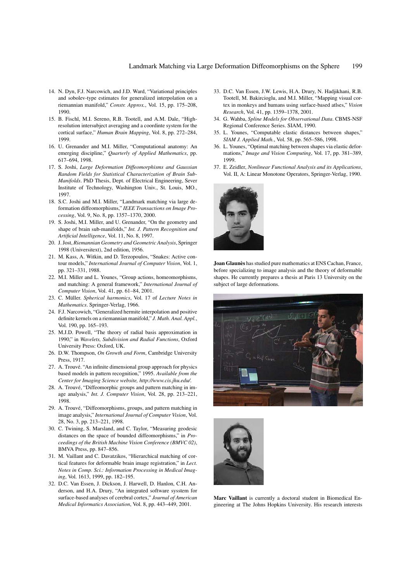- 14. N. Dyn, F.J. Narcowich, and J.D. Ward, "Variational principles and sobolev-type estimates for generalized interpolation on a riemannian manifold," *Constr. Approx.*, Vol. 15, pp. 175–208, 1990.
- 15. B. Fischl, M.I. Sereno, R.B. Tootell, and A.M. Dale, "Highresolution intersubject averaging and a coordinte system for the cortical surface," *Human Brain Mapping*, Vol. 8, pp. 272–284, 1999.
- 16. U. Grenander and M.I. Miller, "Computational anatomy: An emerging discipline," *Quarterly of Applied Mathematics*, pp. 617–694, 1998.
- 17. S. Joshi, *Large Deformation Diffeomorphisms and Gaussian Random Fields for Statistical Characterization of Brain Sub-Manifolds*. PhD Thesis, Dept. of Electrical Engineering, Sever Institute of Technology, Washington Univ., St. Louis, MO., 1997.
- 18. S.C. Joshi and M.I. Miller, "Landmark matching via large deformation diffeomorphisms," *IEEE Transactions on Image Processing*, Vol. 9, No. 8, pp. 1357–1370, 2000.
- 19. S. Joshi, M.I. Miller, and U. Grenander, "On the geometry and shape of brain sub-manifolds," *Int. J. Pattern Recognition and Artificial Intelligence*, Vol. 11, No. 8, 1997.
- 20. J. Jost, *Riemannian Geometry and Geometric Analysis*, Springer 1998 (Universitext), 2nd edition, 1956.
- 21. M. Kass, A. Witkin, and D. Terzopoulos, "Snakes: Active contour models," *International Journal of Computer Vision*, Vol. 1, pp. 321–331, 1988.
- 22. M.I. Miller and L. Younes, "Group actions, homeomorphisms, and matching: A general framework," *International Journal of Computer Vision*, Vol. 41, pp. 61–84, 2001.
- 23. C. M¨uller. *Spherical harmonics*, Vol. 17 of *Lecture Notes in Mathematics*. Springer-Verlag, 1966.
- 24. F.J. Narcowich, "Generalized hermite interpolation and positive definite kernels on a riemannian manifold," *J. Math. Anal. Appl.*, Vol. 190, pp. 165–193.
- 25. M.J.D. Powell, "The theory of radial basis approximation in 1990," in *Wavelets, Subdivision and Radial Functions*, Oxford University Press: Oxford, UK.
- 26. D.W. Thompson, *On Growth and Form*, Cambridge University Press, 1917.
- 27. A. Trouvé. "An infinite dimensional group approach for physics based models in pattern recognition," 1995. *Available from the Center for Imaging Science website, http://www.cis.jhu.edu/*.
- 28. A. Trouvé, "Diffeomorphic groups and pattern matching in image analysis," *Int. J. Computer Vision*, Vol. 28, pp. 213–221, 1998.
- 29. A. Trouvé, "Diffeomorphisms, groups, and pattern matching in image analysis," *International Journal of Computer Vision*, Vol. 28, No. 3, pp. 213–221, 1998.
- 30. C. Twining, S. Marsland, and C. Taylor, "Measuring geodesic distances on the space of bounded diffeomorphisms," in *Proceedings of the British Machine Vision Conference (BMVC 02)*, BMVA Press, pp. 847–856.
- 31. M. Vaillant and C. Davatzikos, "Hierarchical matching of cortical features for deformable brain image registration," in *Lect. Notes in Comp. Sci.: Information Processing in Medical Imaging*, Vol. 1613, 1999, pp. 182–195.
- 32. D.C. Van Essen, J. Dickson, J. Harwell, D. Hanlon, C.H. Anderson, and H.A. Drury, "An integrated software sysstem for surface-based analyses of cerebral cortex," *Journal of American Medical Informatics Association*, Vol. 8, pp. 443–449, 2001.
- 33. D.C. Van Essen, J.W. Lewis, H.A. Drury, N. Hadjikhani, R.B. Tootell, M. Bakircioglu, and M.I. Miller, "Mapping visual cortex in monkeys and humans using surface-based atlses," *Vision Research*, Vol. 41, pp. 1359–1378, 2001.
- 34. G. Wahba, *Spline Models for Observational Data*. CBMS-NSF Regional Conference Series. SIAM, 1990.
- 35. L. Younes, "Computable elastic distances between shapes," *SIAM J. Applied Math.*, Vol. 58, pp. 565–586, 1998.
- 36. L. Younes, "Optimal matching between shapes via elastic deformations," *Image and Vision Computing*, Vol. 17, pp. 381–389, 1999.
- 37. E. Zeidler, *Nonlinear Functional Analysis and its Applications*, Vol. II, A: Linear Monotone Operators, Springer-Verlag, 1990.



**Joan Glaun`es** has studied pure mathematics at ENS Cachan, France, before specializing to image analysis and the theory of deformable shapes. He currently prepares a thesis at Paris 13 University on the subject of large deformations.





**Marc Vaillant** is currently a doctoral student in Biomedical Engineering at The Johns Hopkins University. His research interests